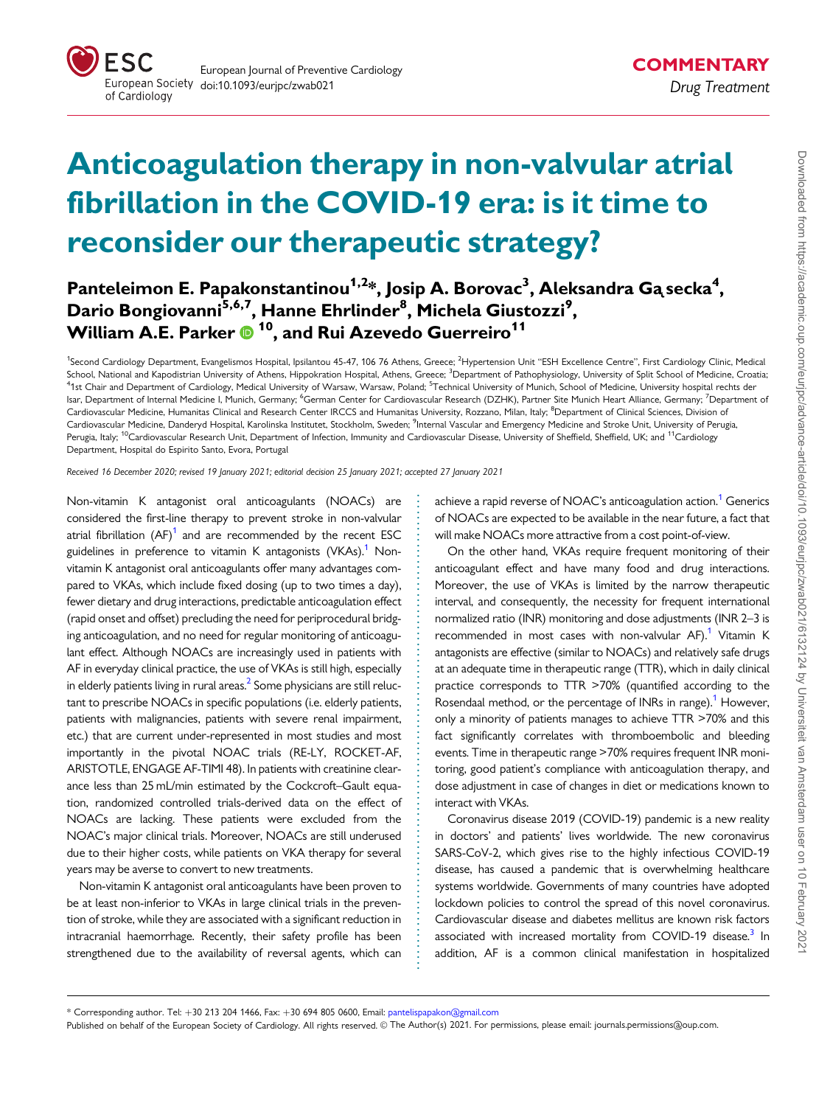<span id="page-0-0"></span>

## Anticoagulation therapy in non-valvular atrial fibrillation in the COVID-19 era: is it time to reconsider our therapeutic strategy?

## Panteleimon E. Papakonstantinou<sup>1,2</sup>\*, Josip A. Borovac<sup>3</sup>, Aleksandra Gą secka<sup>4</sup>, Dario Bongiovanni<sup>5,6,7</sup>, Hanne Ehrlinder<sup>8</sup>, Michela Giustozzi<sup>9</sup>, William A.E. Parker <sup>10</sup>, and Rui Azevedo Guerreiro<sup>11</sup>

<sup>1</sup>Second Cardiology Department, Evangelismos Hospital, Ipsilantou 45-47, 106 76 Athens, Greece; <sup>2</sup>Hypertension Unit "ESH Excellence Centre", First Cardiology Clinic, Medical School, National and Kapodistrian University of Athens, Hippokration Hospital, Athens, Greece; <sup>3</sup>Department of Pathophysiology, University of Split School of Medicine, Croatia <sup>4</sup>1st Chair and Department of Cardiology, Medical University of Warsaw, Warsaw, Poland; <sup>5</sup>Technical University of Munich, School of Medicine, University hospital rechts der Isar, Department of Internal Medicine I, Munich, Germany; <sup>6</sup>German Center for Cardiovascular Research (DZHK), Partner Site Munich Heart Alliance, Germany; <sup>7</sup>Department of Cardiovascular Medicine, Humanitas Clinical and Research Center IRCCS and Humanitas University, Rozzano, Milan, Italy; <sup>8</sup>Department of Clinical Sciences, Division of Cardiovascular Medicine, Danderyd Hospital, Karolinska Institutet, Stockholm, Sweden; <sup>9</sup>Internal Vascular and Emergency Medicine and Stroke Unit, University of Perugia Perugia, Italy; <sup>10</sup>Cardiovascular Research Unit, Department of Infection, Immunity and Cardiovascular Disease, University of Sheffield, Sheffield, UK; and <sup>11</sup>Cardiology Department, Hospital do Espirito Santo, Evora, Portugal

Received 16 December 2020; revised 19 January 2021; editorial decision 25 January 2021; accepted 27 January 2021

Non-vitamin K antagonist oral anticoagulants (NOACs) are considered the first-line therapy to prevent stroke in non-valvular atrial fibrillation  $(AF)^1$  $(AF)^1$  and are recommended by the recent ESC guidelines in preference to vitamin K antagonists (VKAs).<sup>1</sup> Nonvitamin K antagonist oral anticoagulants offer many advantages compared to VKAs, which include fixed dosing (up to two times a day), fewer dietary and drug interactions, predictable anticoagulation effect (rapid onset and offset) precluding the need for periprocedural bridging anticoagulation, and no need for regular monitoring of anticoagulant effect. Although NOACs are increasingly used in patients with AF in everyday clinical practice, the use of VKAs is still high, especially in elderly patients living in rural areas. $<sup>2</sup>$  Some physicians are still reluc-</sup> tant to prescribe NOACs in specific populations (i.e. elderly patients, patients with malignancies, patients with severe renal impairment, etc.) that are current under-represented in most studies and most importantly in the pivotal NOAC trials (RE-LY, ROCKET-AF, ARISTOTLE, ENGAGE AF-TIMI 48). In patients with creatinine clearance less than 25 mL/min estimated by the Cockcroft–Gault equation, randomized controlled trials-derived data on the effect of NOACs are lacking. These patients were excluded from the NOAC's major clinical trials. Moreover, NOACs are still underused due to their higher costs, while patients on VKA therapy for several years may be averse to convert to new treatments.

Non-vitamin K antagonist oral anticoagulants have been proven to be at least non-inferior to VKAs in large clinical trials in the prevention of stroke, while they are associated with a significant reduction in intracranial haemorrhage. Recently, their safety profile has been strengthened due to the availability of reversal agents, which can achieve a rapid reverse of NOAC's anticoagulation action.<sup>1</sup> Generics of NOACs are expected to be available in the near future, a fact that will make NOACs more attractive from a cost point-of-view.

On the other hand, VKAs require frequent monitoring of their anticoagulant effect and have many food and drug interactions. Moreover, the use of VKAs is limited by the narrow therapeutic interval, and consequently, the necessity for frequent international normalized ratio (INR) monitoring and dose adjustments (INR 2–3 is recommended in most cases with non-valvular AF).<sup>[1](#page-2-0)</sup> Vitamin K antagonists are effective (similar to NOACs) and relatively safe drugs at an adequate time in therapeutic range (TTR), which in daily clinical practice corresponds to TTR >70% (quantified according to the Rosendaal method, or the percentage of INRs in range).<sup>[1](#page-2-0)</sup> However, only a minority of patients manages to achieve TTR >70% and this fact significantly correlates with thromboembolic and bleeding events. Time in therapeutic range >70% requires frequent INR monitoring, good patient's compliance with anticoagulation therapy, and dose adjustment in case of changes in diet or medications known to interact with VKAs.

Coronavirus disease 2019 (COVID-19) pandemic is a new reality in doctors' and patients' lives worldwide. The new coronavirus SARS-CoV-2, which gives rise to the highly infectious COVID-19 disease, has caused a pandemic that is overwhelming healthcare systems worldwide. Governments of many countries have adopted lockdown policies to control the spread of this novel coronavirus. Cardiovascular disease and diabetes mellitus are known risk factors associated with increased mortality from COVID-19 disease.<sup>3</sup> In addition, AF is a common clinical manifestation in hospitalized

\* Corresponding author. Tel: +30 213 204 1466, Fax: +30 694 805 0600, Email: pantelispapakon@gmail.com

Published on behalf of the European Society of Cardiology. All rights reserved. © The Author(s) 2021. For permissions, please email: journals.permissions@oup.com.

. . . . . . . . . . . . . . . . . . . . . . . . . . . . . . . . . . . . . . . . . . . . . . . . . . . . . . . . . . . . . . . . . . . . . . . . . . . . . . . . . . . . . . .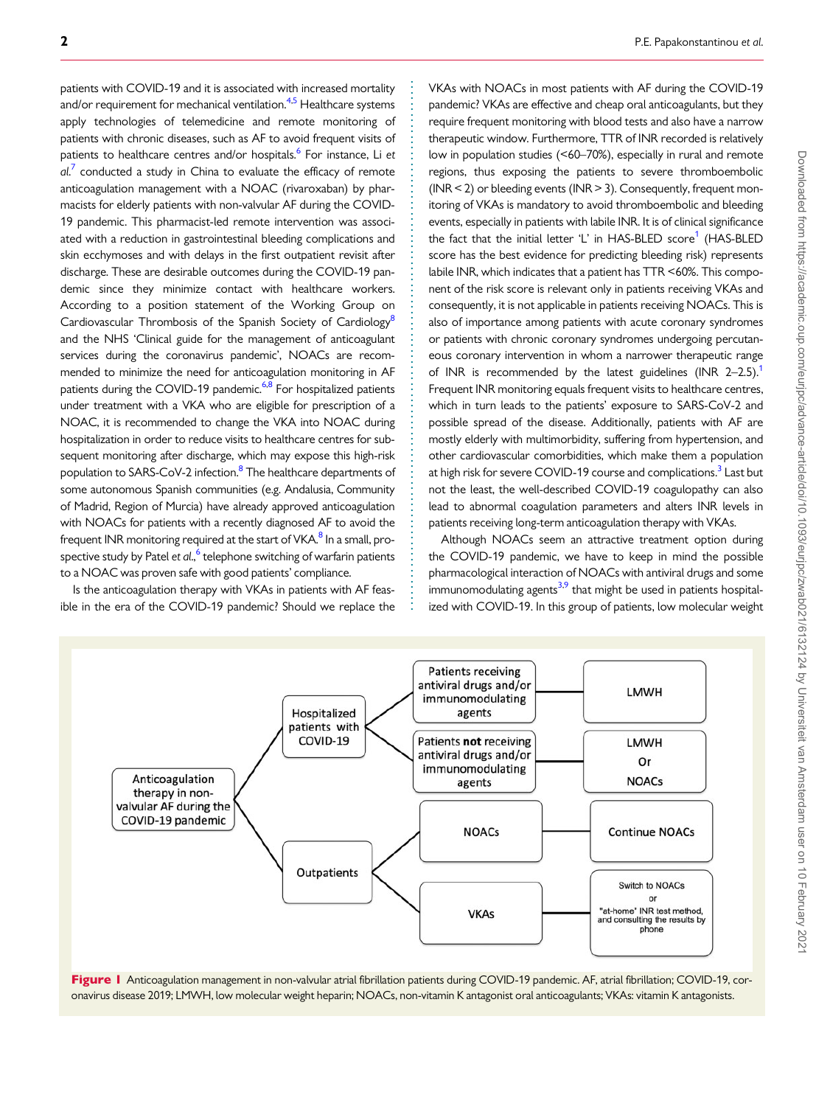<span id="page-1-0"></span>patients with COVID-19 and it is associated with increased mortality and/or requirement for mechanical ventilation.<sup>[4,5](#page-2-0)</sup> Healthcare systems apply technologies of telemedicine and remote monitoring of patients with chronic diseases, such as AF to avoid frequent visits of patients to healthcare centres and/or hospitals.<sup>[6](#page-2-0)</sup> For instance, Li et  $al.$ <sup>[7](#page-2-0)</sup> conducted a study in China to evaluate the efficacy of remote anticoagulation management with a NOAC (rivaroxaban) by pharmacists for elderly patients with non-valvular AF during the COVID-19 pandemic. This pharmacist-led remote intervention was associated with a reduction in gastrointestinal bleeding complications and skin ecchymoses and with delays in the first outpatient revisit after discharge. These are desirable outcomes during the COVID-19 pandemic since they minimize contact with healthcare workers. According to a position statement of the Working Group on Cardiovascular Thrombosis of the Spanish Society of Cardiology<sup>8</sup> and the NHS 'Clinical guide for the management of anticoagulant services during the coronavirus pandemic', NOACs are recommended to minimize the need for anticoagulation monitoring in AF patients during the COVID-19 pandemic.<sup>6,8</sup> For hospitalized patients under treatment with a VKA who are eligible for prescription of a NOAC, it is recommended to change the VKA into NOAC during hospitalization in order to reduce visits to healthcare centres for subsequent monitoring after discharge, which may expose this high-risk population to SARS-CoV-2 infection.<sup>8</sup> The healthcare departments of some autonomous Spanish communities (e.g. Andalusia, Community of Madrid, Region of Murcia) have already approved anticoagulation with NOACs for patients with a recently diagnosed AF to avoid the frequent INR monitoring required at the start of VKA.<sup>8</sup> In a small, pro-spective study by Patel et al.,<sup>[6](#page-2-0)</sup> telephone switching of warfarin patients to a NOAC was proven safe with good patients' compliance.

Is the anticoagulation therapy with VKAs in patients with AF feasible in the era of the COVID-19 pandemic? Should we replace the VKAs with NOACs in most patients with AF during the COVID-19 pandemic? VKAs are effective and cheap oral anticoagulants, but they require frequent monitoring with blood tests and also have a narrow therapeutic window. Furthermore, TTR of INR recorded is relatively low in population studies (<60–70%), especially in rural and remote regions, thus exposing the patients to severe thromboembolic ( $INR < 2$ ) or bleeding events ( $INR > 3$ ). Consequently, frequent monitoring of VKAs is mandatory to avoid thromboembolic and bleeding events, especially in patients with labile INR. It is of clinical significance the fact that the initial letter 'L' in HAS-BLED score<sup>[1](#page-2-0)</sup> (HAS-BLED score has the best evidence for predicting bleeding risk) represents labile INR, which indicates that a patient has TTR <60%. This component of the risk score is relevant only in patients receiving VKAs and consequently, it is not applicable in patients receiving NOACs. This is also of importance among patients with acute coronary syndromes or patients with chronic coronary syndromes undergoing percutaneous coronary intervention in whom a narrower therapeutic range of INR is recommended by the latest guidelines (INR  $2-2.5$ ). Frequent INR monitoring equals frequent visits to healthcare centres, which in turn leads to the patients' exposure to SARS-CoV-2 and possible spread of the disease. Additionally, patients with AF are mostly elderly with multimorbidity, suffering from hypertension, and other cardiovascular comorbidities, which make them a population at high risk for severe COVID-19 course and complications.<sup>3</sup> Last but not the least, the well-described COVID-19 coagulopathy can also lead to abnormal coagulation parameters and alters INR levels in patients receiving long-term anticoagulation therapy with VKAs.

Although NOACs seem an attractive treatment option during the COVID-19 pandemic, we have to keep in mind the possible pharmacological interaction of NOACs with antiviral drugs and some immunomodulating agents<sup>3,9</sup> that might be used in patients hospitalized with COVID-19. In this group of patients, low molecular weight



. . . . . . . . . . . . . . . . . . . . . . . . . . . . . . . . . . . . . . . . . . . . . . . . . . . . . . . . . . . . . . . . . . . . . . . . . . . . . . . . . . . . . . . . . . . . . . . .